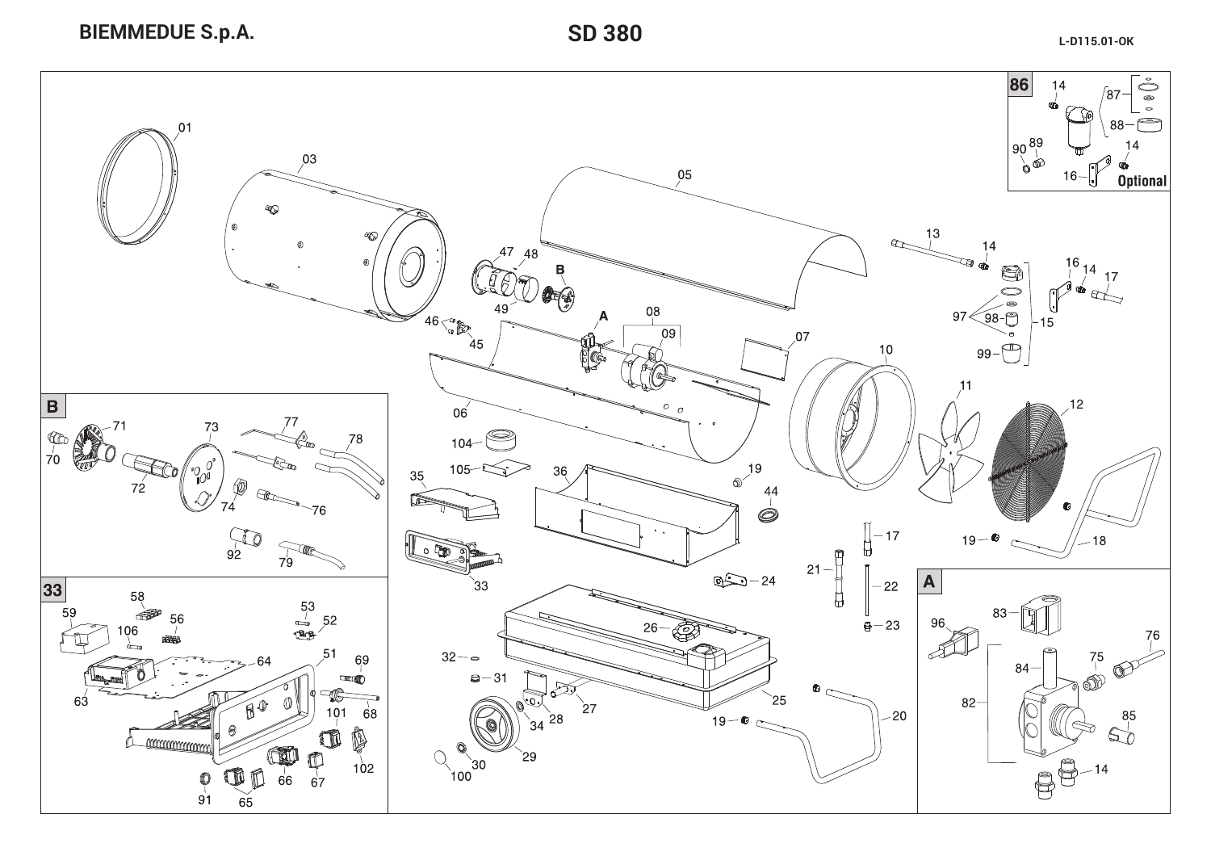

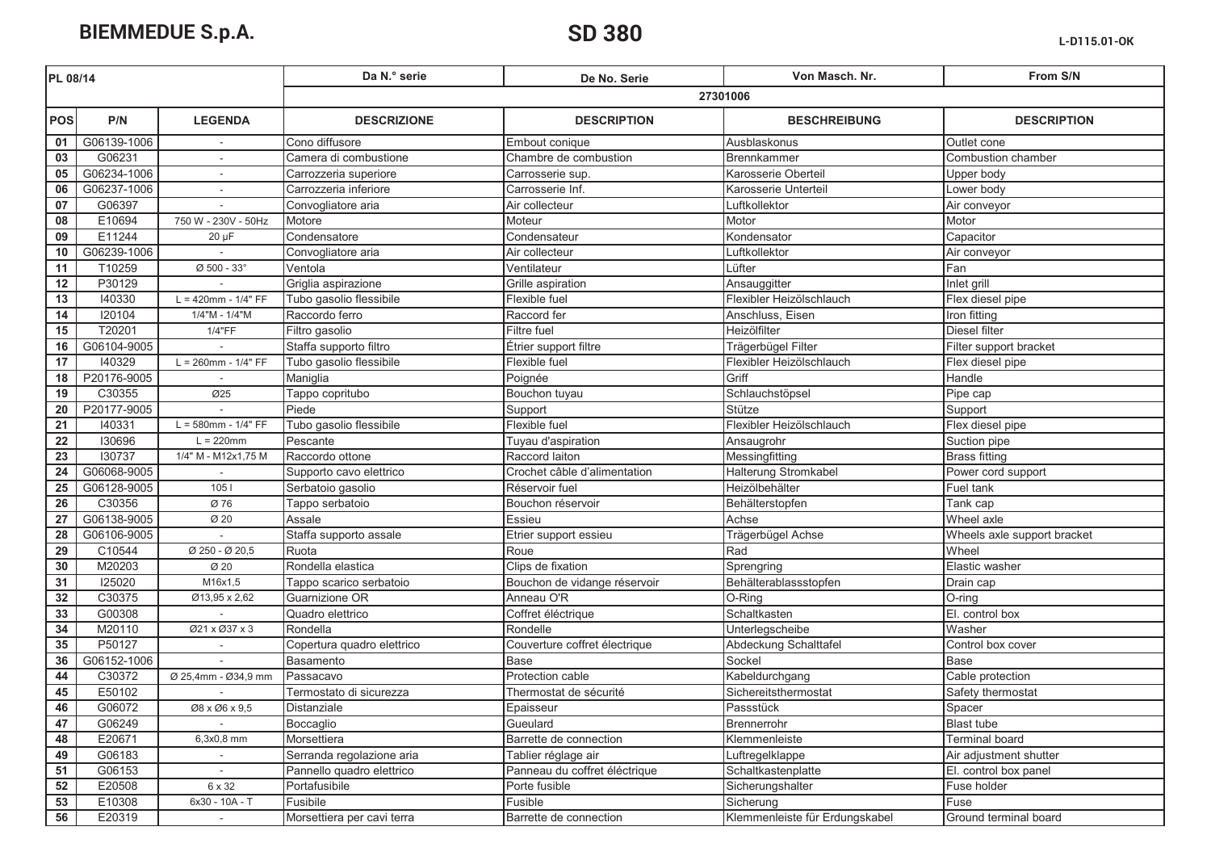**BIEMMEDUE S.p.A.** 

## SD 380

| PL 08/14        |             |                          | Da N.º serie               | De No. Serie                  | Von Masch. Nr.                 | From S/N                    |  |  |
|-----------------|-------------|--------------------------|----------------------------|-------------------------------|--------------------------------|-----------------------------|--|--|
|                 |             |                          | 27301006                   |                               |                                |                             |  |  |
| <b>POS</b>      | P/N         | <b>LEGENDA</b>           | <b>DESCRIZIONE</b>         | <b>DESCRIPTION</b>            | <b>BESCHREIBUNG</b>            | <b>DESCRIPTION</b>          |  |  |
| 01              | G06139-1006 |                          | Cono diffusore             | Embout conique                | Ausblaskonus                   | Outlet cone                 |  |  |
| 03              | G06231      | $\sim$                   | Camera di combustione      | Chambre de combustion         | Brennkammer                    | Combustion chamber          |  |  |
| 05              | G06234-1006 | $\sim$                   | Carrozzeria superiore      | Carrosserie sup.              | Karosserie Oberteil            | Upper body                  |  |  |
| 06              | G06237-1006 | $\sim$                   | Carrozzeria inferiore      | Carrosserie Inf.              | Karosserie Unterteil           | Lower body                  |  |  |
| 07              | G06397      |                          | Convogliatore aria         | Air collecteur                | Luftkollektor                  | Air conveyor                |  |  |
| 08              | E10694      | 750 W - 230V - 50Hz      | Motore                     | Moteur                        | Motor                          | Motor                       |  |  |
| 09              | E11244      | $20 \mu F$               | Condensatore               | Condensateur                  | Kondensator                    | Capacitor                   |  |  |
| 10              | G06239-1006 |                          | Convogliatore aria         | Air collecteur                | Luftkollektor                  | Air conveyor                |  |  |
| 11              | T10259      | Ø 500 - 33°              | Ventola                    | Ventilateur                   | Lüfter                         | Fan                         |  |  |
| 12              | P30129      |                          | Griglia aspirazione        | Grille aspiration             | Ansauggitter                   | Inlet grill                 |  |  |
| 13              | 140330      | $L = 420$ mm - $1/4" FF$ | Tubo gasolio flessibile    | Flexible fuel                 | Flexibler Heizölschlauch       | Flex diesel pipe            |  |  |
| 14              | 120104      | 1/4"M - 1/4"M            | Raccordo ferro             | Raccord fer                   | Anschluss, Eisen               | Iron fitting                |  |  |
| 15              | T20201      | 1/4"FF                   | Filtro gasolio             | <b>Filtre fuel</b>            | Heizölfilter                   | Diesel filter               |  |  |
| 16              | G06104-9005 |                          | Staffa supporto filtro     | Étrier support filtre         | Trägerbügel Filter             | Filter support bracket      |  |  |
| 17              | 140329      | $L = 260$ mm - $1/4" FF$ | Tubo gasolio flessibile    | Flexible fuel                 | Flexibler Heizölschlauch       | Flex diesel pipe            |  |  |
| 18              | P20176-9005 |                          | Maniglia                   | Poignée                       | Griff                          | Handle                      |  |  |
| 19              | C30355      | Ø25                      | Tappo copritubo            | Bouchon tuyau                 | Schlauchstöpsel                | Pipe cap                    |  |  |
| 20              | P20177-9005 |                          | Piede                      | Support                       | Stütze                         | Support                     |  |  |
| 21              | 140331      | $L = 580$ mm - $1/4" FF$ | Tubo gasolio flessibile    | Flexible fuel                 | Flexibler Heizölschlauch       | Flex diesel pipe            |  |  |
| $\overline{22}$ | 130696      | $L = 220$ mm             | Pescante                   | Tuyau d'aspiration            | Ansaugrohr                     | Suction pipe                |  |  |
| $\overline{23}$ | 130737      | 1/4" M - M12x1,75 M      | Raccordo ottone            | Raccord laiton                | Messingfitting                 | <b>Brass fitting</b>        |  |  |
| 24              | G06068-9005 |                          | Supporto cavo elettrico    | Crochet câble d'alimentation  | Halterung Stromkabel           | Power cord support          |  |  |
| 25              | G06128-9005 | 1051                     | Serbatoio gasolio          | Réservoir fuel                | Heizölbehälter                 | Fuel tank                   |  |  |
| 26              | C30356      | Ø 76                     | Tappo serbatoio            | Bouchon réservoir             | Behälterstopfen                | Tank cap                    |  |  |
| 27              | G06138-9005 | Ø 20                     | Assale                     | Essieu                        | Achse                          | Wheel axle                  |  |  |
| 28              | G06106-9005 |                          | Staffa supporto assale     | Etrier support essieu         | Trägerbügel Achse              | Wheels axle support bracket |  |  |
| 29              | C10544      | Ø 250 - Ø 20,5           | Ruota                      | Roue                          | Rad                            | Wheel                       |  |  |
| 30              | M20203      | Ø 20                     | Rondella elastica          | Clips de fixation             | Sprengring                     | Elastic washer              |  |  |
| 31              | 125020      | M16x1,5                  | Tappo scarico serbatoio    | Bouchon de vidange réservoir  | Behälterablassstopfen          | Drain cap                   |  |  |
| 32              | C30375      | Ø13,95 x 2,62            | Guarnizione OR             | Anneau O'R                    | O-Ring                         | $O$ -ring                   |  |  |
| 33              | G00308      |                          | Quadro elettrico           | Coffret éléctrique            | Schaltkasten                   | El. control box             |  |  |
| 34              | M20110      | Ø21 x Ø37 x 3            | Rondella                   | Rondelle                      | Unterlegscheibe                | Washer                      |  |  |
| 35              | P50127      |                          | Copertura quadro elettrico | Couverture coffret électrique | Abdeckung Schalttafel          | Control box cover           |  |  |
| 36              | G06152-1006 |                          | Basamento                  | <b>Base</b>                   | Sockel                         | Base                        |  |  |
| 44              | C30372      | Ø 25,4mm - Ø34,9 mm      | Passacavo                  | Protection cable              | Kabeldurchgang                 | Cable protection            |  |  |
| 45              | E50102      |                          | Termostato di sicurezza    | Thermostat de sécurité        | Sichereitsthermostat           | Safety thermostat           |  |  |
| 46              | G06072      | Ø8 x Ø6 x 9,5            | Distanziale                | Epaisseur                     | Passstück                      | Spacer                      |  |  |
| 47              | G06249      |                          | Boccaglio                  | Gueulard                      | Brennerrohr                    | <b>Blast tube</b>           |  |  |
| 48              | E20671      | 6,3x0,8 mm               | Morsettiera                | Barrette de connection        | Klemmenleiste                  | <b>Terminal board</b>       |  |  |
| 49              | G06183      |                          | Serranda regolazione aria  | Tablier réglage air           | Luftregelklappe                | Air adjustment shutter      |  |  |
| 51              | G06153      |                          | Pannello quadro elettrico  | Panneau du coffret éléctrique | Schaltkastenplatte             | El. control box panel       |  |  |
| 52              | E20508      | 6 x 32                   | Portafusibile              | Porte fusible                 | Sicherungshalter               | Fuse holder                 |  |  |
| 53              | E10308      | 6x30 - 10A - T           | Fusibile                   | Fusible                       | Sicherung                      | Fuse                        |  |  |
| 56              | E20319      | $\sim$                   | Morsettiera per cavi terra | Barrette de connection        | Klemmenleiste für Erdungskabel | Ground terminal board       |  |  |